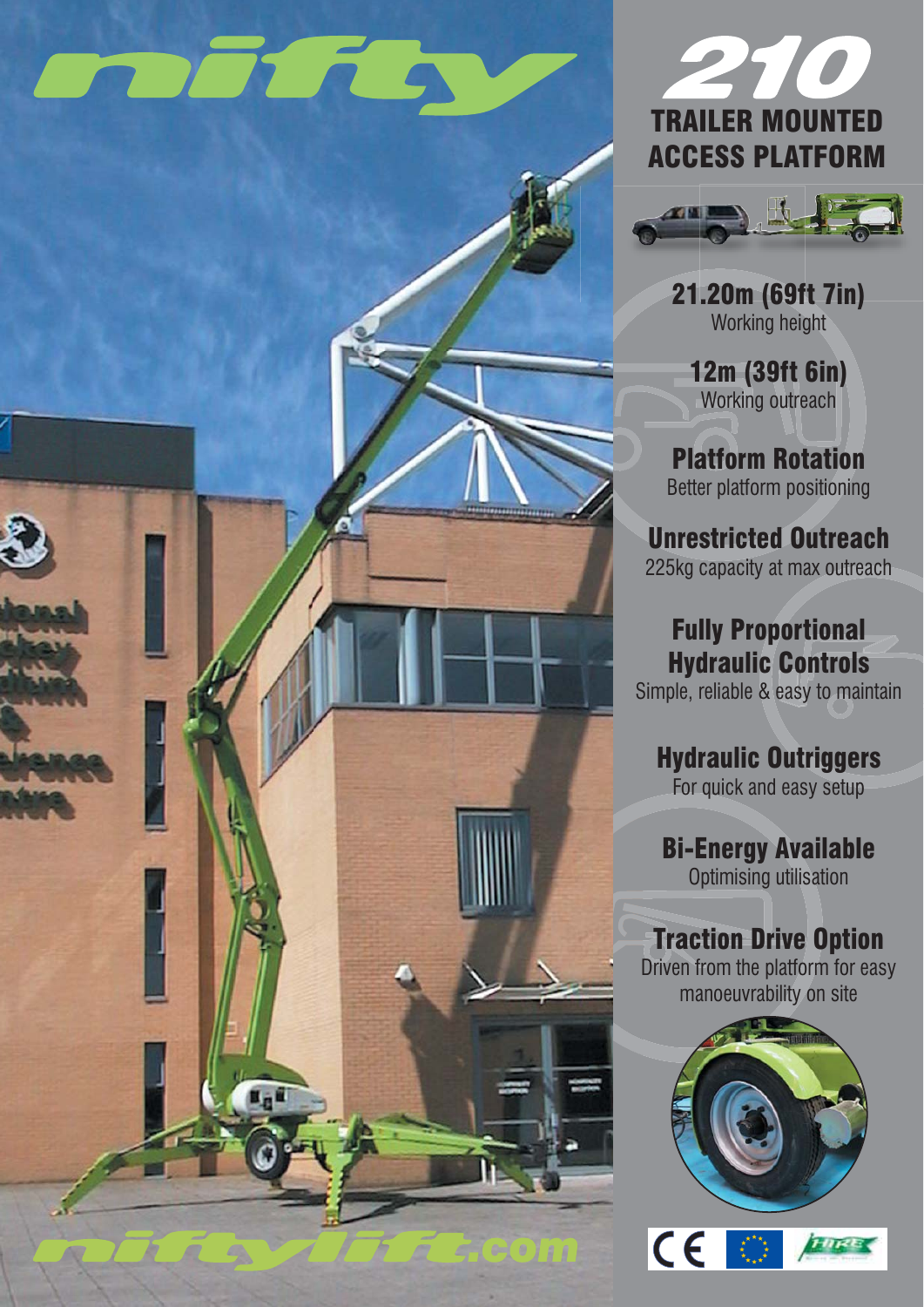# **FOR STRAIGHT**





21.20m (69ft 7in) Working height

12m (39ft 6in) Working outreach

Platform Rotation Better platform positioning

Unrestricted Outreach 225kg capacity at max outreach

### Fully Proportional Hydraulic Controls

Simple, reliable & easy to maintain

## Hydraulic Outriggers

For quick and easy setup

# Bi-Energy Available

Optimising utilisation

### Traction Drive Option

Driven from the platform for easy manoeuvrability on site